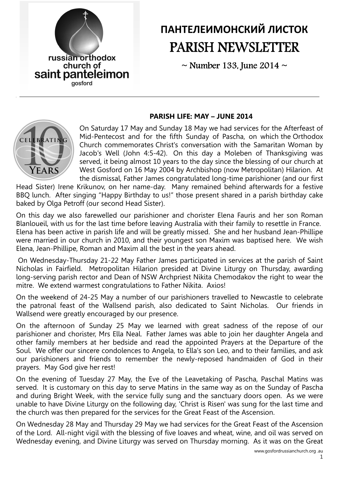

# ПАНТЕЛЕИМОНСКИЙ ЛИСТОК PARISH NEWSLETTER

 $\sim$  Number 133, June 2014  $\sim$ 

#### PARISH LIFE: MAY – JUNE 2014



On Saturday 17 May and Sunday 18 May we had services for the Afterfeast of Mid-Pentecost and for the fifth Sunday of Pascha, on which the Orthodox Church commemorates Christ's conversation with the Samaritan Woman by Jacob's Well (John 4:5-42). On this day a Moleben of Thanksgiving was served, it being almost 10 years to the day since the blessing of our church at West Gosford on 16 May 2004 by Archbishop (now Metropolitan) Hilarion. At the dismissal, Father James congratulated long-time parishioner (and our first

Head Sister) Irene Krikunov, on her name-day. Many remained behind afterwards for a festive BBQ lunch. After singing "Happy Birthday to us!" those present shared in a parish birthday cake baked by Olga Petroff (our second Head Sister).

On this day we also farewelled our parishioner and chorister Elena Fauris and her son Roman Blanloueil, with us for the last time before leaving Australia with their family to resettle in France. Elena has been active in parish life and will be greatly missed. She and her husband Jean-Phillipe were married in our church in 2010, and their youngest son Maxim was baptised here. We wish Elena, Jean-Phillipe, Roman and Maxim all the best in the years ahead.

 On Wednesday-Thursday 21-22 May Father James participated in services at the parish of Saint Nicholas in Fairfield. Metropolitan Hilarion presided at Divine Liturgy on Thursday, awarding long-serving parish rector and Dean of NSW Archpriest Nikita Chemodakov the right to wear the mitre. We extend warmest congratulations to Father Nikita. Axios!

On the weekend of 24-25 May a number of our parishioners travelled to Newcastle to celebrate the patronal feast of the Wallsend parish, also dedicated to Saint Nicholas. Our friends in Wallsend were greatly encouraged by our presence.

On the afternoon of Sunday 25 May we learned with great sadness of the repose of our parishioner and chorister, Mrs Ella Neal. Father James was able to join her daughter Angela and other family members at her bedside and read the appointed Prayers at the Departure of the Soul. We offer our sincere condolences to Angela, to Ella's son Leo, and to their families, and ask our parishioners and friends to remember the newly-reposed handmaiden of God in their prayers. May God give her rest!

On the evening of Tuesday 27 May, the Eve of the Leavetaking of Pascha, Paschal Matins was served. It is customary on this day to serve Matins in the same way as on the Sunday of Pascha and during Bright Week, with the service fully sung and the sanctuary doors open. As we were unable to have Divine Liturgy on the following day, 'Christ is Risen' was sung for the last time and the church was then prepared for the services for the Great Feast of the Ascension.

On Wednesday 28 May and Thursday 29 May we had services for the Great Feast of the Ascension of the Lord. All-night vigil with the blessing of five loaves and wheat, wine, and oil was served on Wednesday evening, and Divine Liturgy was served on Thursday morning. As it was on the Great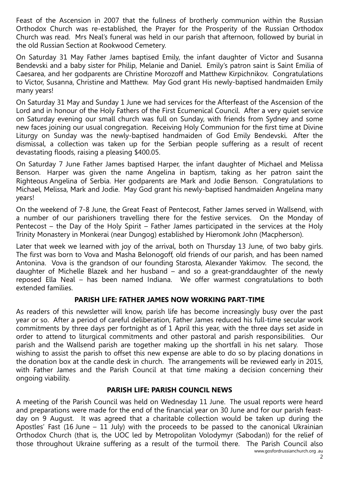Feast of the Ascension in 2007 that the fullness of brotherly communion within the Russian Orthodox Church was re-established, the Prayer for the Prosperity of the Russian Orthodox Church was read. Mrs Neal's funeral was held in our parish that afternoon, followed by burial in the old Russian Section at Rookwood Cemetery.

On Saturday 31 May Father James baptised Emily, the infant daughter of Victor and Susanna Bendevski and a baby sister for Philip, Melanie and Daniel. Emily's patron saint is Saint Emilia of Caesarea, and her godparents are Christine Morozoff and Matthew Kirpichnikov. Congratulations to Victor, Susanna, Christine and Matthew. May God grant His newly-baptised handmaiden Emily many years!

On Saturday 31 May and Sunday 1 June we had services for the Afterfeast of the Ascension of the Lord and in honour of the Holy Fathers of the First Ecumenical Council. After a very quiet service on Saturday evening our small church was full on Sunday, with friends from Sydney and some new faces joining our usual congregation. Receiving Holy Communion for the first time at Divine Liturgy on Sunday was the newly-baptised handmaiden of God Emily Bendevski. After the dismissal, a collection was taken up for the Serbian people suffering as a result of recent devastating floods, raising a pleasing \$400.05.

On Saturday 7 June Father James baptised Harper, the infant daughter of Michael and Melissa Benson. Harper was given the name Angelina in baptism, taking as her patron saint the Righteous Angelina of Serbia. Her godparents are Mark and Jodie Benson. Congratulations to Michael, Melissa, Mark and Jodie. May God grant his newly-baptised handmaiden Angelina many years!

On the weekend of 7-8 June, the Great Feast of Pentecost, Father James served in Wallsend, with a number of our parishioners travelling there for the festive services. On the Monday of Pentecost – the Day of the Holy Spirit – Father James participated in the services at the Holy Trinity Monastery in Monkerai (near Dungog) established by Hieromonk John (Macpherson).

Later that week we learned with joy of the arrival, both on Thursday 13 June, of two baby girls. The first was born to Vova and Masha Belonogoff, old friends of our parish, and has been named Antonina. Vova is the grandson of our founding Starosta, Alexander Yakimov. The second, the daughter of Michelle Blazek and her husband – and so a great-granddaughter of the newly reposed Ella Neal – has been named Indiana. We offer warmest congratulations to both extended families.

#### PARISH LIFE: FATHER JAMES NOW WORKING PART-TIME

As readers of this newsletter will know, parish life has become increasingly busy over the past year or so. After a period of careful deliberation, Father James reduced his full-time secular work commitments by three days per fortnight as of 1 April this year, with the three days set aside in order to attend to liturgical commitments and other pastoral and parish responsibilities. Our parish and the Wallsend parish are together making up the shortfall in his net salary. Those wishing to assist the parish to offset this new expense are able to do so by placing donations in the donation box at the candle desk in church. The arrangements will be reviewed early in 2015, with Father James and the Parish Council at that time making a decision concerning their ongoing viability.

#### PARISH LIFE: PARISH COUNCIL NEWS

A meeting of the Parish Council was held on Wednesday 11 June. The usual reports were heard and preparations were made for the end of the financial year on 30 June and for our parish feastday on 9 August. It was agreed that a charitable collection would be taken up during the Apostles' Fast (16 June  $-$  11 July) with the proceeds to be passed to the canonical Ukrainian Orthodox Church (that is, the UOC led by Metropolitan Volodymyr (Sabodan)) for the relief of those throughout Ukraine suffering as a result of the turmoil there. The Parish Council also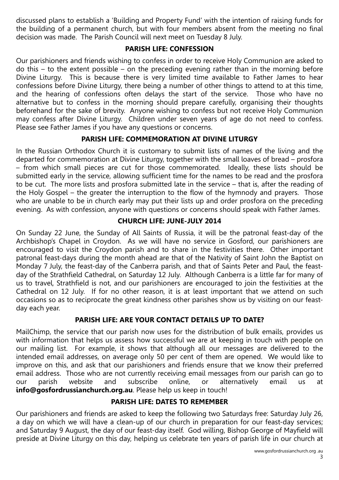discussed plans to establish a 'Building and Property Fund' with the intention of raising funds for the building of a permanent church, but with four members absent from the meeting no final decision was made. The Parish Council will next meet on Tuesday 8 July.

#### PARISH LIFE: CONFESSION

Our parishioners and friends wishing to confess in order to receive Holy Communion are asked to do this – to the extent possible – on the preceding evening rather than in the morning before Divine Liturgy. This is because there is very limited time available to Father James to hear confessions before Divine Liturgy, there being a number of other things to attend to at this time, and the hearing of confessions often delays the start of the service. Those who have no alternative but to confess in the morning should prepare carefully, organising their thoughts beforehand for the sake of brevity. Anyone wishing to confess but not receive Holy Communion may confess after Divine Liturgy. Children under seven years of age do not need to confess. Please see Father James if you have any questions or concerns.

# PARISH LIFE: COMMEMORATION AT DIVINE LITURGY

In the Russian Orthodox Church it is customary to submit lists of names of the living and the departed for commemoration at Divine Liturgy, together with the small loaves of bread – prosfora – from which small pieces are cut for those commemorated. Ideally, these lists should be submitted early in the service, allowing sufficient time for the names to be read and the prosfora to be cut. The more lists and prosfora submitted late in the service – that is, after the reading of the Holy Gospel – the greater the interruption to the flow of the hymnody and prayers. Those who are unable to be in church early may put their lists up and order prosfora on the preceding evening. As with confession, anyone with questions or concerns should speak with Father James.

# CHURCH LIFE: JUNE-JULY 2014

On Sunday 22 June, the Sunday of All Saints of Russia, it will be the patronal feast-day of the Archbishop's Chapel in Croydon. As we will have no service in Gosford, our parishioners are encouraged to visit the Croydon parish and to share in the festivities there. Other important patronal feast-days during the month ahead are that of the Nativity of Saint John the Baptist on Monday 7 July, the feast-day of the Canberra parish, and that of Saints Peter and Paul, the feastday of the Strathfield Cathedral, on Saturday 12 July. Although Canberra is a little far for many of us to travel, Strathfield is not, and our parishioners are encouraged to join the festivities at the Cathedral on 12 July. If for no other reason, it is at least important that we attend on such occasions so as to reciprocate the great kindness other parishes show us by visiting on our feastday each year.

# PARISH LIFE: ARE YOUR CONTACT DETAILS UP TO DATE?

MailChimp, the service that our parish now uses for the distribution of bulk emails, provides us with information that helps us assess how successful we are at keeping in touch with people on our mailing list. For example, it shows that although all our messages are delivered to the intended email addresses, on average only 50 per cent of them are opened. We would like to improve on this, and ask that our parishioners and friends ensure that we know their preferred email address. Those who are not currently receiving email messages from our parish can go to our parish website and subscribe online, or alternatively email us at info@gosfordrussianchurch.org.au. Please help us keep in touch!

# PARISH LIFE: DATES TO REMEMBER

Our parishioners and friends are asked to keep the following two Saturdays free: Saturday July 26, a day on which we will have a clean-up of our church in preparation for our feast-day services; and Saturday 9 August, the day of our feast-day itself. God willing, Bishop George of Mayfield will preside at Divine Liturgy on this day, helping us celebrate ten years of parish life in our church at